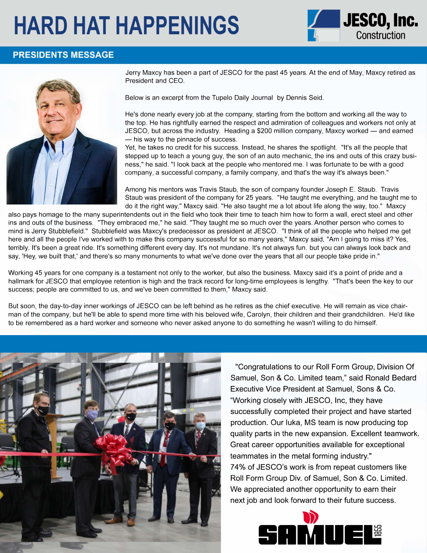# **HARD HAT HAPPENINGS** *J. JESCO, Inc.*



### **PRESIDENTS MESSAGE**



He's done nearly every job at the company, starting from the bottom and working all the way to the top. He has rightfully earned the respect and admiration of colleagues and workers not only at JESCO, but across the industry. Heading a \$200 million company, Maxcy worked - and earned - his way to the pinnacle of success.

Jerry Maxcy has been a part of JESCO for the past 45 years. At the end of May, Maxcy retired as President and CEO.

Below is an excerpt from the Tupelo Daily Journal by Dennis Seid.

Yet, he takes no credit for his success. Instead, he shares the spotlight. "It's all the people that stepped up to teach a young guy, the son of an auto mechanic, the ins and outs of this crazy business," he said. "I look back at the people who mentored me. I was fortunate to be with a good company, a successful company, a family company, and that's the way it's always been."

Among his mentors was Travis Staub, the son of company founder Joseph E. Staub. Travis Staub was president of the company for 25 years. "He taught me everything, and he taught me to do it the right way," Maxcy said. "He also taught me a lot about life along the way, too." Maxcy

also pays homage to the many superintendents out in the field who took their time to teach him how to form a wall, erect steel and other ins and outs of the business. "They embraced me," he said. "They taught me so much over the years. Another person who comes to mind is Jerry Stubblefield." Stubblefield was Maxcy's predecessor as president at JESCO. "I think of all the people who helped me get here and all the people I've worked with to make this company successful for so many years," Maxcy said, "Am I going to miss it? Yes, terribly. It's been a great ride. It's something different every day. It's not mundane. It's not always fun. but you can always look back and say, 'Hey, we built that,' and there's so many monuments to what we've done over the years that all our people take pride in."

Working 45 years for one company is a testament not only to the worker, but also the business. Maxcy said it's a point of pride and a hallmark for JESCO that employee retention is high and the track record for long-time employees is lengthy. "That's been the key to our success; people are committed to us, and we've been committed to them," Maxcy said.

But soon, the day-to-day inner workings of JESCO can be left behind as he retires as the chief executive. He will remain as vice chairman of the company, but he'll be able to spend more time with his beloved wife, Carolyn, their children and their grandchildren. He'd like to be remembered as a hard worker and someone who never asked anyone to do something he wasn't willing to do himself.



"Congratulations to our Roll Form Group, Division Of Samuel, Son & Co. Limited team," said Ronald Bedard Executive Vice President at Samuel, Sons & Co. "Working closely with JESCO, Inc, they have successfully completed their project and have started production. Our Iuka, MS team is now producing top quality parts in the new expansion. Excellent teamwork. Great career opportunities available for exceptional teammates in the metal forming industry." 7 4% of JESCO's work is from repeat customers like Roll Form Group Div. of Samuel, Son & Co. Limited. We appreciated another opportunity to earn their next job and look forward to their future success.